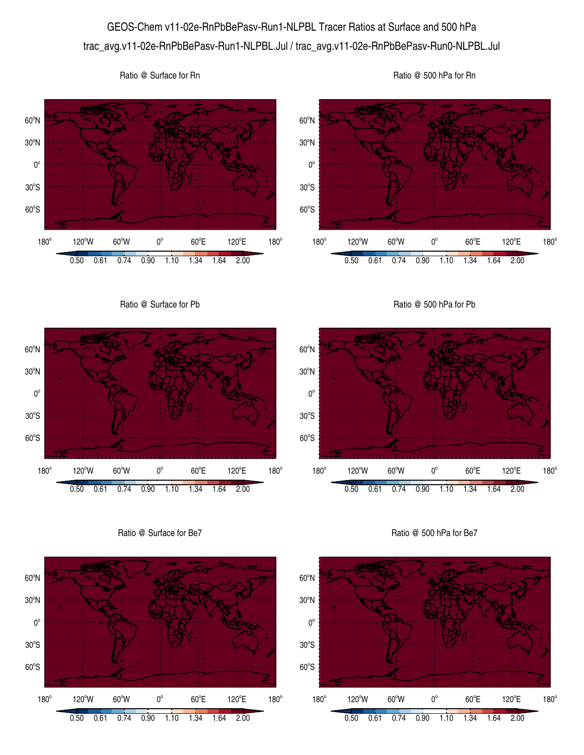## GEOS-Chem v11-02e-RnPbBePasv-Run1-NLPBL Tracer Ratios at Surface and 500 hPa trac\_avg.v11-02e-RnPbBePasv-Run1-NLPBL.Jul / trac\_avg.v11-02e-RnPbBePasv-Run0-NLPBL.Jul





0.50 0.61 0.74 0.90 1.10 1.34 1.64 2.00

 $60^{\circ}E$ 

120°E

 $180^\circ$ 

60°S

 $180^\circ$ 

 $30^{\circ}$ S

 $0^{\circ}$ 

 $120^{\circ}$ W 60 $^{\circ}$ W 0 $^{\circ}$ 

60°S

 $180^\circ$ 

 $30^{\circ}$ S

 $0^{\circ}$ 



Ratio @ 500 hPa for Be7

0.50 0.61 0.74 0.90 1.10 1.34 1.64 2.00

 $60^{\circ}E$ 

120°E

 $180^\circ$ 

120°W 60°W 0°